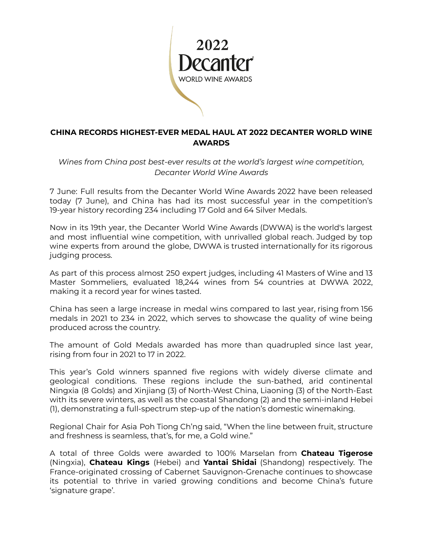

## **CHINA RECORDS HIGHEST-EVER MEDAL HAUL AT 2022 DECANTER WORLD WINE AWARDS**

*Wines from China post best-ever results at the world's largest wine competition, Decanter World Wine Awards*

7 June: Full results from the Decanter World Wine Awards 2022 have been released today (7 June), and China has had its most successful year in the competition's 19-year history recording 234 including 17 Gold and 64 Silver Medals.

Now in its 19th year, the Decanter World Wine Awards (DWWA) is the world's largest and most influential wine competition, with unrivalled global reach. Judged by top wine experts from around the globe, DWWA is trusted internationally for its rigorous judging process.

As part of this process almost 250 expert judges, including 41 Masters of Wine and 13 Master Sommeliers, evaluated 18,244 wines from 54 countries at DWWA 2022, making it a record year for wines tasted.

China has seen a large increase in medal wins compared to last year, rising from 156 medals in 2021 to 234 in 2022, which serves to showcase the quality of wine being produced across the country.

The amount of Gold Medals awarded has more than quadrupled since last year, rising from four in 2021 to 17 in 2022.

This year's Gold winners spanned five regions with widely diverse climate and geological conditions. These regions include the sun-bathed, arid continental Ningxia (8 Golds) and Xinjiang (3) of North-West China, Liaoning (3) of the North-East with its severe winters, as well as the coastal Shandong (2) and the semi-inland Hebei (1), demonstrating a full-spectrum step-up of the nation's domestic winemaking.

Regional Chair for Asia Poh Tiong Ch'ng said, "When the line between fruit, structure and freshness is seamless, that's, for me, a Gold wine."

A total of three Golds were awarded to 100% Marselan from **Chateau Tigerose** (Ningxia), **Chateau Kings** (Hebei) and **Yantai Shidai** (Shandong) respectively. The France-originated crossing of Cabernet Sauvignon-Grenache continues to showcase its potential to thrive in varied growing conditions and become China's future 'signature grape'.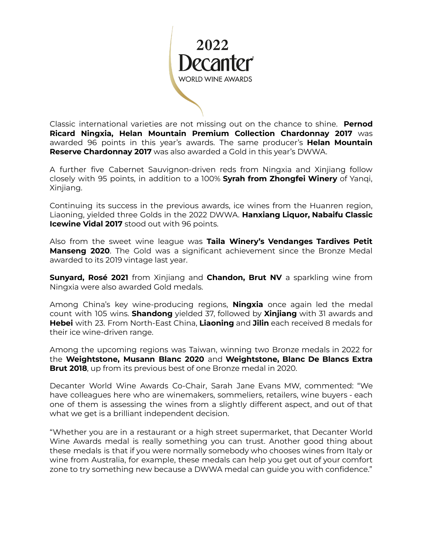

Classic international varieties are not missing out on the chance to shine. **Pernod Ricard Ningxia, Helan Mountain Premium Collection Chardonnay 2017** was awarded 96 points in this year's awards. The same producer's **Helan Mountain Reserve Chardonnay 2017** was also awarded a Gold in this year's DWWA.

A further five Cabernet Sauvignon-driven reds from Ningxia and Xinjiang follow closely with 95 points, in addition to a 100% **Syrah from Zhongfei Winery** of Yanqi, Xinjiang.

Continuing its success in the previous awards, ice wines from the Huanren region, Liaoning, yielded three Golds in the 2022 DWWA. **Hanxiang Liquor, Nabaifu Classic Icewine Vidal 2017** stood out with 96 points.

Also from the sweet wine league was **Taila Winery's Vendanges Tardives Petit Manseng 2020**. The Gold was a significant achievement since the Bronze Medal awarded to its 2019 vintage last year.

**Sunyard, Rosé 2021** from Xinjiang and **Chandon, Brut NV** a sparkling wine from Ningxia were also awarded Gold medals.

Among China's key wine-producing regions, **Ningxia** once again led the medal count with 105 wins. **Shandong** yielded 37, followed by **Xinjiang** with 31 awards and **Hebei** with 23. From North-East China, **Liaoning** and **Jilin** each received 8 medals for their ice wine-driven range.

Among the upcoming regions was Taiwan, winning two Bronze medals in 2022 for the **Weightstone, Musann Blanc 2020** and **Weightstone, Blanc De Blancs Extra Brut 2018**, up from its previous best of one Bronze medal in 2020.

Decanter World Wine Awards Co-Chair, Sarah Jane Evans MW, commented: "We have colleagues here who are winemakers, sommeliers, retailers, wine buyers - each one of them is assessing the wines from a slightly different aspect, and out of that what we get is a brilliant independent decision.

"Whether you are in a restaurant or a high street supermarket, that Decanter World Wine Awards medal is really something you can trust. Another good thing about these medals is that if you were normally somebody who chooses wines from Italy or wine from Australia, for example, these medals can help you get out of your comfort zone to try something new because a DWWA medal can guide you with confidence."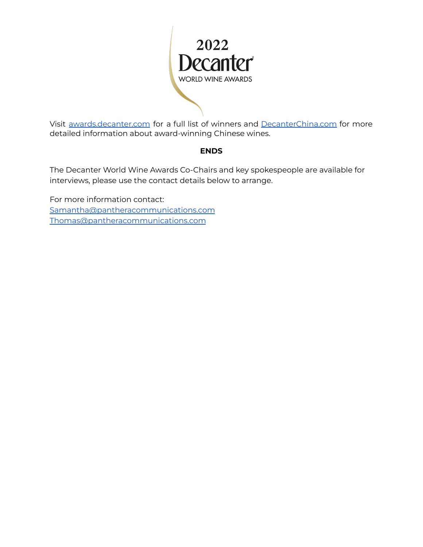

Visit [awards.decanter.com](http://awards.decanter.com) for a full list of winners and [DecanterChina.com](https://www.decanterchina.com/en/) for more detailed information about award-winning Chinese wines.

### **ENDS**

The Decanter World Wine Awards Co-Chairs and key spokespeople are available for interviews, please use the contact details below to arrange.

For more information contact: [Samantha@pantheracommunications.com](mailto:Samantha@pantheracommunications.com) [Thomas@pantheracommunications.com](mailto:Thomas@pantheracommunications.com)